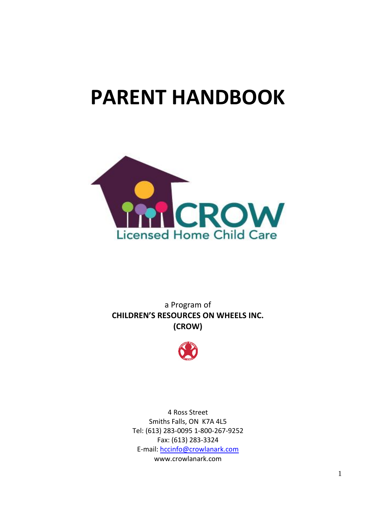# **PARENT HANDBOOK**



a Program of **CHILDREN'S RESOURCES ON WHEELS INC. (CROW)**



4 Ross Street Smiths Falls, ON K7A 4L5 Tel: (613) 283-0095 1-800-267-9252 Fax: (613) 283-3324 E-mail: [hccinfo@crowlanark.com](mailto:hccinfo@crowlanark.com) www.crowlanark.com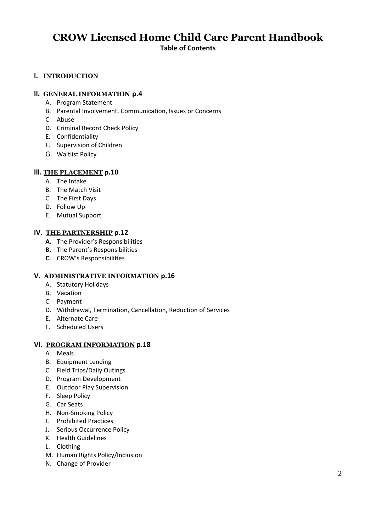## **CROW Licensed Home Child Care Parent Handbook Table of Contents**

#### **l. INTRODUCTION**

#### **ll. GENERAL INFORMATION p.4**

- A. Program Statement
- B. Parental Involvement, Communication, Issues or Concerns
- C. Abuse
- D. Criminal Record Check Policy
- E. Confidentiality
- F. Supervision of Children
- G. Waitlist Policy

#### **lll. THE PLACEMENT p.10**

- A. The Intake
- B. The Match Visit
- C. The First Days
- D. Follow Up
- E. Mutual Support

#### **lV. THE PARTNERSHIP p.12**

- **A.** The Provider's Responsibilities
- **B.** The Parent's Responsibilities
- **C.** CROW's Responsibilities

#### **V. ADMINISTRATIVE INFORMATION p.16**

- A. Statutory Holidays
- B. Vacation
- C. Payment
- D. Withdrawal, Termination, Cancellation, Reduction of Services
- E. Alternate Care
- F. Scheduled Users

#### **Vl. PROGRAM INFORMATION p.18**

- A. Meals
- B. Equipment Lending
- C. Field Trips/Daily Outings
- D. Program Development
- E. Outdoor Play Supervision
- F. Sleep Policy
- G. Car Seats
- H. Non-Smoking Policy
- I. Prohibited Practices
- J. Serious Occurrence Policy
- K. Health Guidelines
- L. Clothing
- M. Human Rights Policy/Inclusion
- N. Change of Provider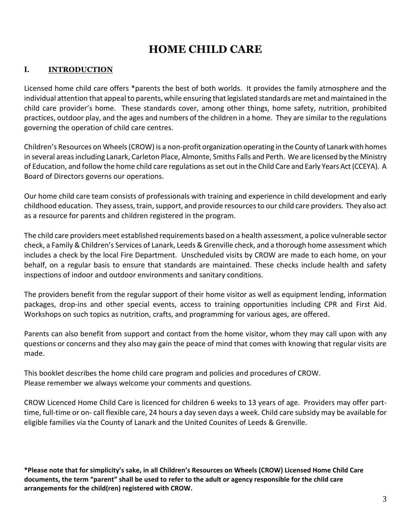## **HOME CHILD CARE**

## **I. INTRODUCTION**

Licensed home child care offers \*parents the best of both worlds. It provides the family atmosphere and the individual attention that appeal to parents, while ensuring that legislated standards are met and maintained in the child care provider's home. These standards cover, among other things, home safety, nutrition, prohibited practices, outdoor play, and the ages and numbers of the children in a home. They are similar to the regulations governing the operation of child care centres.

Children's Resources on Wheels (CROW) is a non-profit organization operating in the County of Lanark with homes in several areas including Lanark, Carleton Place, Almonte, Smiths Falls and Perth. We are licensed by the Ministry of Education, and follow the home child care regulations as set outin the Child Care and Early Years Act(CCEYA). A Board of Directors governs our operations.

Our home child care team consists of professionals with training and experience in child development and early childhood education. They assess, train, support, and provide resources to our child care providers. They also act as a resource for parents and children registered in the program.

The child care providers meet established requirements based on a health assessment, a police vulnerable sector check, a Family & Children's Services of Lanark, Leeds & Grenville check, and a thorough home assessment which includes a check by the local Fire Department. Unscheduled visits by CROW are made to each home, on your behalf, on a regular basis to ensure that standards are maintained. These checks include health and safety inspections of indoor and outdoor environments and sanitary conditions.

The providers benefit from the regular support of their home visitor as well as equipment lending, information packages, drop-ins and other special events, access to training opportunities including CPR and First Aid. Workshops on such topics as nutrition, crafts, and programming for various ages, are offered.

Parents can also benefit from support and contact from the home visitor, whom they may call upon with any questions or concerns and they also may gain the peace of mind that comes with knowing that regular visits are made.

This booklet describes the home child care program and policies and procedures of CROW. Please remember we always welcome your comments and questions.

CROW Licenced Home Child Care is licenced for children 6 weeks to 13 years of age. Providers may offer parttime, full-time or on- call flexible care, 24 hours a day seven days a week. Child care subsidy may be available for eligible families via the County of Lanark and the United Counites of Leeds & Grenville.

**\*Please note that for simplicity's sake, in all Children's Resources on Wheels (CROW) Licensed Home Child Care documents, the term "parent" shall be used to refer to the adult or agency responsible for the child care arrangements for the child(ren) registered with CROW.**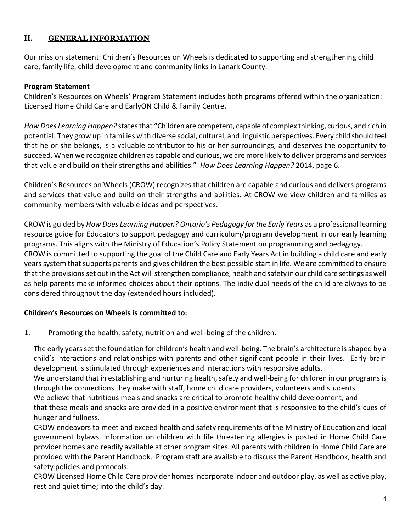## **II. GENERAL INFORMATION**

Our mission statement: Children's Resources on Wheels is dedicated to supporting and strengthening child care, family life, child development and community links in Lanark County.

#### **Program Statement**

Children's Resources on Wheels' Program Statement includes both programs offered within the organization: Licensed Home Child Care and EarlyON Child & Family Centre.

*How Does Learning Happen?* states that "Children are competent, capable of complex thinking, curious, and rich in potential. They grow up in families with diverse social, cultural, and linguistic perspectives. Every child should feel that he or she belongs, is a valuable contributor to his or her surroundings, and deserves the opportunity to succeed. When we recognize children as capable and curious, we are more likely to deliver programs and services that value and build on their strengths and abilities." *How Does Learning Happen?* 2014, page 6.

Children's Resources on Wheels (CROW) recognizes that children are capable and curious and delivers programs and services that value and build on their strengths and abilities. At CROW we view children and families as community members with valuable ideas and perspectives.

CROW is guided by *How Does Learning Happen? Ontario's Pedagogy for the Early Years* as a professional learning resource guide for Educators to support pedagogy and curriculum/program development in our early learning programs. This aligns with the Ministry of Education's Policy Statement on programming and pedagogy. CROW is committed to supporting the goal of the Child Care and Early Years Act in building a child care and early yearssystem that supports parents and gives children the best possible start in life. We are committed to ensure that the provisions set out in the Act will strengthen compliance, health and safety in our child care settings as well as help parents make informed choices about their options. The individual needs of the child are always to be considered throughout the day (extended hours included).

#### **Children's Resources on Wheels is committed to:**

1. Promoting the health, safety, nutrition and well-being of the children.

The early years set the foundation for children's health and well-being. The brain's architecture is shaped by a child's interactions and relationships with parents and other significant people in their lives. Early brain development is stimulated through experiences and interactions with responsive adults.

We understand that in establishing and nurturing health, safety and well-being for children in our programs is through the connections they make with staff, home child care providers, volunteers and students.

We believe that nutritious meals and snacks are critical to promote healthy child development, and

that these meals and snacks are provided in a positive environment that is responsive to the child's cues of hunger and fullness.

CROW endeavors to meet and exceed health and safety requirements of the Ministry of Education and local government bylaws. Information on children with life threatening allergies is posted in Home Child Care provider homes and readily available at other program sites. All parents with children in Home Child Care are provided with the Parent Handbook. Program staff are available to discuss the Parent Handbook, health and safety policies and protocols.

CROW Licensed Home Child Care provider homes incorporate indoor and outdoor play, as well as active play, rest and quiet time; into the child's day.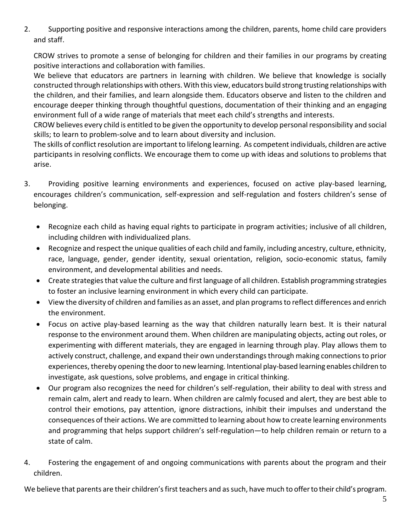2. Supporting positive and responsive interactions among the children, parents, home child care providers and staff.

CROW strives to promote a sense of belonging for children and their families in our programs by creating positive interactions and collaboration with families.

We believe that educators are partners in learning with children. We believe that knowledge is socially constructed through relationships with others. With this view, educators build strong trusting relationships with the children, and their families, and learn alongside them. Educators observe and listen to the children and encourage deeper thinking through thoughtful questions, documentation of their thinking and an engaging environment full of a wide range of materials that meet each child's strengths and interests.

CROW believes every child is entitled to be given the opportunity to develop personal responsibility and social skills; to learn to problem-solve and to learn about diversity and inclusion.

The skills of conflict resolution are important to lifelong learning. As competent individuals, children are active participants in resolving conflicts. We encourage them to come up with ideas and solutions to problems that arise.

- 3. Providing positive learning environments and experiences, focused on active play-based learning, encourages children's communication, self-expression and self-regulation and fosters children's sense of belonging.
	- Recognize each child as having equal rights to participate in program activities; inclusive of all children, including children with individualized plans.
	- Recognize and respect the unique qualities of each child and family, including ancestry, culture, ethnicity, race, language, gender, gender identity, sexual orientation, religion, socio-economic status, family environment, and developmental abilities and needs.
	- Create strategies that value the culture and first language of all children. Establish programming strategies to foster an inclusive learning environment in which every child can participate.
	- View the diversity of children and families as an asset, and plan programs to reflect differences and enrich the environment.
	- Focus on active play-based learning as the way that children naturally learn best. It is their natural response to the environment around them. When children are manipulating objects, acting out roles, or experimenting with different materials, they are engaged in learning through play. Play allows them to actively construct, challenge, and expand their own understandings through making connections to prior experiences, thereby opening the door to new learning. Intentional play-based learning enables children to investigate, ask questions, solve problems, and engage in critical thinking.
	- Our program also recognizes the need for children's self-regulation, their ability to deal with stress and remain calm, alert and ready to learn. When children are calmly focused and alert, they are best able to control their emotions, pay attention, ignore distractions, inhibit their impulses and understand the consequences of their actions. We are committed to learning about how to create learning environments and programming that helps support children's self-regulation—to help children remain or return to a state of calm.
- 4. Fostering the engagement of and ongoing communications with parents about the program and their children.

We believe that parents are their children's first teachers and as such, have much to offer to their child's program.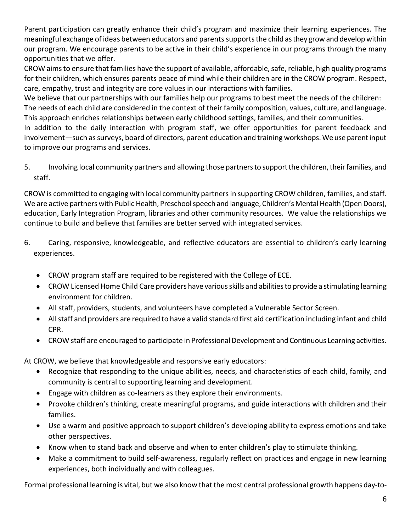Parent participation can greatly enhance their child's program and maximize their learning experiences. The meaningful exchange of ideas between educators and parents supportsthe child as they grow and develop within our program. We encourage parents to be active in their child's experience in our programs through the many opportunities that we offer.

CROW aims to ensure that families have the support of available, affordable, safe, reliable, high quality programs for their children, which ensures parents peace of mind while their children are in the CROW program. Respect, care, empathy, trust and integrity are core values in our interactions with families.

We believe that our partnerships with our families help our programs to best meet the needs of the children: The needs of each child are considered in the context of their family composition, values, culture, and language. This approach enriches relationships between early childhood settings, families, and their communities.

In addition to the daily interaction with program staff, we offer opportunities for parent feedback and involvement—such as surveys, board of directors, parent education and training workshops. We use parent input to improve our programs and services.

5. Involving local community partners and allowing those partners to support the children, their families, and staff.

CROW is committed to engaging with local community partners in supporting CROW children, families, and staff. We are active partners with Public Health, Preschool speech and language, Children's Mental Health (Open Doors), education, Early Integration Program, libraries and other community resources. We value the relationships we continue to build and believe that families are better served with integrated services.

- 6. Caring, responsive, knowledgeable, and reflective educators are essential to children's early learning experiences.
	- CROW program staff are required to be registered with the College of ECE.
	- CROW Licensed Home Child Care providers have various skills and abilities to provide a stimulating learning environment for children.
	- All staff, providers, students, and volunteers have completed a Vulnerable Sector Screen.
	- All staff and providers are required to have a valid standard first aid certification including infant and child CPR.
	- CROW staff are encouraged to participate in Professional Development and Continuous Learning activities.

At CROW, we believe that knowledgeable and responsive early educators:

- Recognize that responding to the unique abilities, needs, and characteristics of each child, family, and community is central to supporting learning and development.
- Engage with children as co-learners as they explore their environments.
- Provoke children's thinking, create meaningful programs, and guide interactions with children and their families.
- Use a warm and positive approach to support children's developing ability to express emotions and take other perspectives.
- Know when to stand back and observe and when to enter children's play to stimulate thinking.
- Make a commitment to build self-awareness, regularly reflect on practices and engage in new learning experiences, both individually and with colleagues.

Formal professional learning is vital, but we also know that the most central professional growth happens day-to-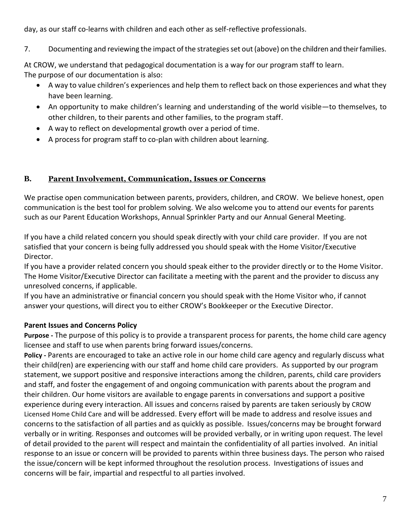day, as our staff co-learns with children and each other as self-reflective professionals.

7. Documenting and reviewing the impact of the strategies set out (above) on the children and their families.

At CROW, we understand that pedagogical documentation is a way for our program staff to learn. The purpose of our documentation is also:

- A way to value children's experiences and help them to reflect back on those experiences and what they have been learning.
- An opportunity to make children's learning and understanding of the world visible—to themselves, to other children, to their parents and other families, to the program staff.
- A way to reflect on developmental growth over a period of time.
- A process for program staff to co-plan with children about learning.

## **B. Parent Involvement, Communication, Issues or Concerns**

We practise open communication between parents, providers, children, and CROW. We believe honest, open communication is the best tool for problem solving. We also welcome you to attend our events for parents such as our Parent Education Workshops, Annual Sprinkler Party and our Annual General Meeting.

If you have a child related concern you should speak directly with your child care provider. If you are not satisfied that your concern is being fully addressed you should speak with the Home Visitor/Executive Director.

If you have a provider related concern you should speak either to the provider directly or to the Home Visitor. The Home Visitor/Executive Director can facilitate a meeting with the parent and the provider to discuss any unresolved concerns, if applicable.

If you have an administrative or financial concern you should speak with the Home Visitor who, if cannot answer your questions, will direct you to either CROW's Bookkeeper or the Executive Director.

## **Parent Issues and Concerns Policy**

**Purpose -** The purpose of this policy is to provide a transparent process for parents, the home child care agency licensee and staff to use when parents bring forward issues/concerns.

**Policy -** Parents are encouraged to take an active role in our home child care agency and regularly discuss what their child(ren) are experiencing with our staff and home child care providers. As supported by our program statement, we support positive and responsive interactions among the children, parents, child care providers and staff, and foster the engagement of and ongoing communication with parents about the program and their children. Our home visitors are available to engage parents in conversations and support a positive experience during every interaction. All issues and concerns raised by parents are taken seriously by CROW Licensed Home Child Care and will be addressed. Every effort will be made to address and resolve issues and concerns to the satisfaction of all parties and as quickly as possible. Issues/concerns may be brought forward verbally or in writing. Responses and outcomes will be provided verbally, or in writing upon request. The level of detail provided to the parent will respect and maintain the confidentiality of all parties involved. An initial response to an issue or concern will be provided to parents within three business days. The person who raised the issue/concern will be kept informed throughout the resolution process. Investigations of issues and concerns will be fair, impartial and respectful to all parties involved.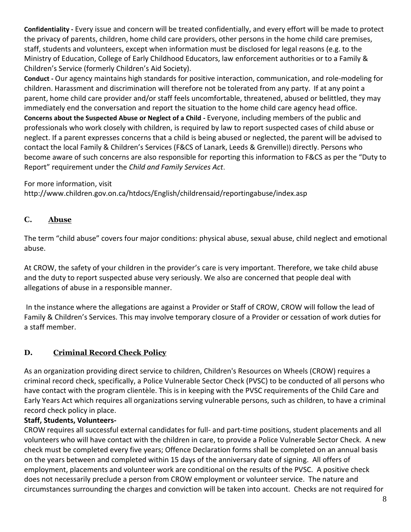**Confidentiality -** Every issue and concern will be treated confidentially, and every effort will be made to protect the privacy of parents, children, home child care providers, other persons in the home child care premises, staff, students and volunteers, except when information must be disclosed for legal reasons (e.g. to the Ministry of Education, College of Early Childhood Educators, law enforcement authorities or to a Family & Children's Service (formerly Children's Aid Society).

**Conduct -** Our agency maintains high standards for positive interaction, communication, and role-modeling for children. Harassment and discrimination will therefore not be tolerated from any party. If at any point a parent, home child care provider and/or staff feels uncomfortable, threatened, abused or belittled, they may immediately end the conversation and report the situation to the home child care agency head office. **Concerns about the Suspected Abuse or Neglect of a Child -** Everyone, including members of the public and professionals who work closely with children, is required by law to report suspected cases of child abuse or neglect. If a parent expresses concerns that a child is being abused or neglected, the parent will be advised to contact the local Family & Children's Services (F&CS of Lanark, Leeds & Grenville)) directly. Persons who become aware of such concerns are also responsible for reporting this information to F&CS as per the "Duty to Report" requirement under the *Child and Family Services Act*.

For more information, visit

http://www.children.gov.on.ca/htdocs/English/childrensaid/reportingabuse/index.asp

#### **C. Abuse**

The term "child abuse" covers four major conditions: physical abuse, sexual abuse, child neglect and emotional abuse.

At CROW, the safety of your children in the provider's care is very important. Therefore, we take child abuse and the duty to report suspected abuse very seriously. We also are concerned that people deal with allegations of abuse in a responsible manner.

In the instance where the allegations are against a Provider or Staff of CROW, CROW will follow the lead of Family & Children's Services. This may involve temporary closure of a Provider or cessation of work duties for a staff member.

## **D. Criminal Record Check Policy**

As an organization providing direct service to children, Children's Resources on Wheels (CROW) requires a criminal record check, specifically, a Police Vulnerable Sector Check (PVSC) to be conducted of all persons who have contact with the program clientèle. This is in keeping with the PVSC requirements of the Child Care and Early Years Act which requires all organizations serving vulnerable persons, such as children, to have a criminal record check policy in place.

#### **Staff, Students, Volunteers-**

CROW requires all successful external candidates for full- and part-time positions, student placements and all volunteers who will have contact with the children in care, to provide a Police Vulnerable Sector Check. A new check must be completed every five years; Offence Declaration forms shall be completed on an annual basis on the years between and completed within 15 days of the anniversary date of signing. All offers of employment, placements and volunteer work are conditional on the results of the PVSC. A positive check does not necessarily preclude a person from CROW employment or volunteer service. The nature and circumstances surrounding the charges and conviction will be taken into account. Checks are not required for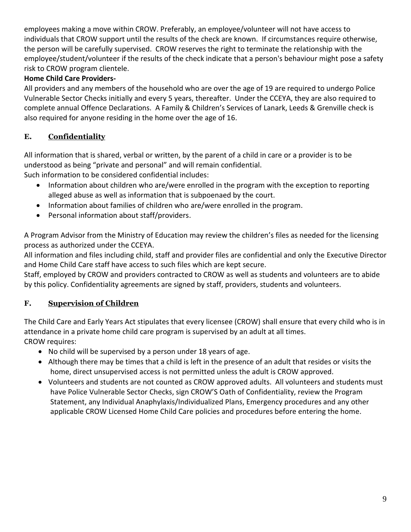employees making a move within CROW. Preferably, an employee/volunteer will not have access to individuals that CROW support until the results of the check are known. If circumstances require otherwise, the person will be carefully supervised. CROW reserves the right to terminate the relationship with the employee/student/volunteer if the results of the check indicate that a person's behaviour might pose a safety risk to CROW program clientele.

## **Home Child Care Providers-**

All providers and any members of the household who are over the age of 19 are required to undergo Police Vulnerable Sector Checks initially and every 5 years, thereafter. Under the CCEYA, they are also required to complete annual Offence Declarations. A Family & Children's Services of Lanark, Leeds & Grenville check is also required for anyone residing in the home over the age of 16.

## **E. Confidentiality**

All information that is shared, verbal or written, by the parent of a child in care or a provider is to be understood as being "private and personal" and will remain confidential. Such information to be considered confidential includes:

- Information about children who are/were enrolled in the program with the exception to reporting alleged abuse as well as information that is subpoenaed by the court.
- Information about families of children who are/were enrolled in the program.
- Personal information about staff/providers.

A Program Advisor from the Ministry of Education may review the children's files as needed for the licensing process as authorized under the CCEYA.

All information and files including child, staff and provider files are confidential and only the Executive Director and Home Child Care staff have access to such files which are kept secure.

Staff, employed by CROW and providers contracted to CROW as well as students and volunteers are to abide by this policy. Confidentiality agreements are signed by staff, providers, students and volunteers.

## **F. Supervision of Children**

The Child Care and Early Years Act stipulates that every licensee (CROW) shall ensure that every child who is in attendance in a private home child care program is supervised by an adult at all times.

CROW requires:

- No child will be supervised by a person under 18 years of age.
- Although there may be times that a child is left in the presence of an adult that resides or visits the home, direct unsupervised access is not permitted unless the adult is CROW approved.
- Volunteers and students are not counted as CROW approved adults. All volunteers and students must have Police Vulnerable Sector Checks, sign CROW'S Oath of Confidentiality, review the Program Statement, any Individual Anaphylaxis/Individualized Plans, Emergency procedures and any other applicable CROW Licensed Home Child Care policies and procedures before entering the home.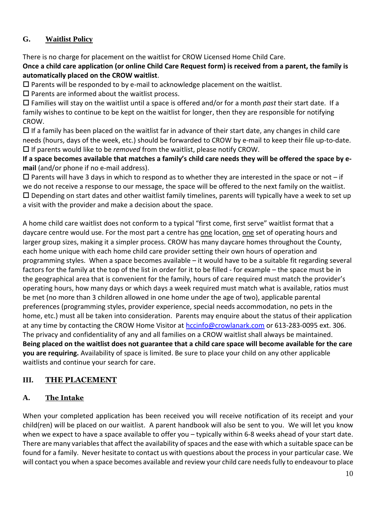## **G. Waitlist Policy**

There is no charge for placement on the waitlist for CROW Licensed Home Child Care.

**Once a child care application (or online Child Care Request form) is received from a parent, the family is automatically placed on the CROW waitlist**.

 $\square$  Parents will be responded to by e-mail to acknowledge placement on the waitlist.

 $\square$  Parents are informed about the waitlist process.

 Families will stay on the waitlist until a space is offered and/or for a month *past* their start date. If a family wishes to continue to be kept on the waitlist for longer, then they are responsible for notifying CROW.

 $\Box$  If a family has been placed on the waitlist far in advance of their start date, any changes in child care needs (hours, days of the week, etc.) should be forwarded to CROW by e-mail to keep their file up-to-date. If parents would like to be *removed* from the waitlist, please notify CROW.

**If a space becomes available that matches a family's child care needs they will be offered the space by email** (and/or phone if no e-mail address).

 $\Box$  Parents will have 3 days in which to respond as to whether they are interested in the space or not – if we do not receive a response to our message, the space will be offered to the next family on the waitlist.  $\square$  Depending on start dates and other waitlist family timelines, parents will typically have a week to set up a visit with the provider and make a decision about the space.

A home child care waitlist does not conform to a typical "first come, first serve" waitlist format that a daycare centre would use. For the most part a centre has one location, one set of operating hours and larger group sizes, making it a simpler process. CROW has many daycare homes throughout the County, each home unique with each home child care provider setting their own hours of operation and programming styles. When a space becomes available – it would have to be a suitable fit regarding several factors for the family at the top of the list in order for it to be filled - for example – the space must be in the geographical area that is convenient for the family, hours of care required must match the provider's operating hours, how many days or which days a week required must match what is available, ratios must be met (no more than 3 children allowed in one home under the age of two), applicable parental preferences (programming styles, provider experience, special needs accommodation, no pets in the home, etc.) must all be taken into consideration. Parents may enquire about the status of their application at any time by contacting the CROW Home Visitor at [hccinfo@crowlanark.com](mailto:hccinfo@crowlanark.com) or 613-283-0095 ext. 306. The privacy and confidentiality of any and all families on a CROW waitlist shall always be maintained. **Being placed on the waitlist does not guarantee that a child care space will become available for the care you are requiring.** Availability of space is limited. Be sure to place your child on any other applicable waitlists and continue your search for care.

## **III. THE PLACEMENT**

## **A. The Intake**

When your completed application has been received you will receive notification of its receipt and your child(ren) will be placed on our waitlist. A parent handbook will also be sent to you. We will let you know when we expect to have a space available to offer you – typically within 6-8 weeks ahead of your start date. There are many variables that affect the availability of spaces and the ease with which a suitable space can be found for a family. Never hesitate to contact us with questions about the process in your particular case. We will contact you when a space becomes available and review your child care needs fully to endeavour to place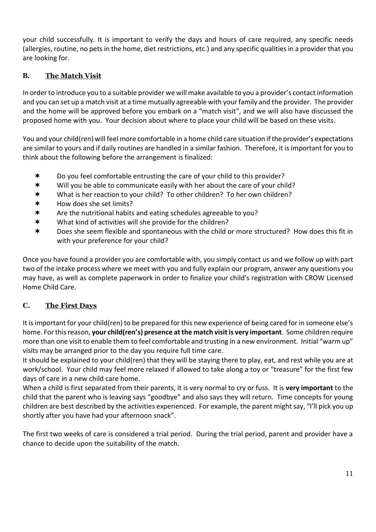your child successfully. It is important to verify the days and hours of care required, any specific needs (allergies, routine, no pets in the home, diet restrictions, etc.) and any specific qualities in a provider that you are looking for.

## **B. The Match Visit**

In order to introduce you to a suitable provider we will make available to you a provider's contact information and you can set up a match visit at a time mutually agreeable with your family and the provider. The provider and the home will be approved before you embark on a "match visit", and we will also have discussed the proposed home with you. Your decision about where to place your child will be based on these visits.

You and your child(ren) will feel more comfortable in a home child care situation if the provider's expectations are similar to yours and if daily routines are handled in a similar fashion. Therefore, it is important for you to think about the following before the arrangement is finalized:

- \* Do you feel comfortable entrusting the care of your child to this provider?
- \* Will you be able to communicate easily with her about the care of your child?
- What is her reaction to your child? To other children? To her own children?
- \* How does she set limits?
- $*$  Are the nutritional habits and eating schedules agreeable to you?
- What kind of activities will she provide for the children?
- \* Does she seem flexible and spontaneous with the child or more structured? How does this fit in with your preference for your child?

Once you have found a provider you are comfortable with, you simply contact us and we follow up with part two of the intake process where we meet with you and fully explain our program, answer any questions you may have, as well as complete paperwork in order to finalize your child's registration with CROW Licensed Home Child Care.

## **C. The First Days**

It is important for your child(ren) to be prepared for this new experience of being cared for in someone else's home. For this reason, **your child(ren's) presence at the match visit is very important**. Some children require more than one visit to enable them to feel comfortable and trusting in a new environment. Initial "warm up" visits may be arranged prior to the day you require full time care.

It should be explained to your child(ren) that they will be staying there to play, eat, and rest while you are at work/school. Your child may feel more relaxed if allowed to take along a toy or "treasure" for the first few days of care in a new child care home.

When a child is first separated from their parents, it is very normal to cry or fuss. It is **very important** to the child that the parent who is leaving says "goodbye" and also says they will return. Time concepts for young children are best described by the activities experienced. For example, the parent might say, "I'll pick you up shortly after you have had your afternoon snack".

The first two weeks of care is considered a trial period. During the trial period, parent and provider have a chance to decide upon the suitability of the match.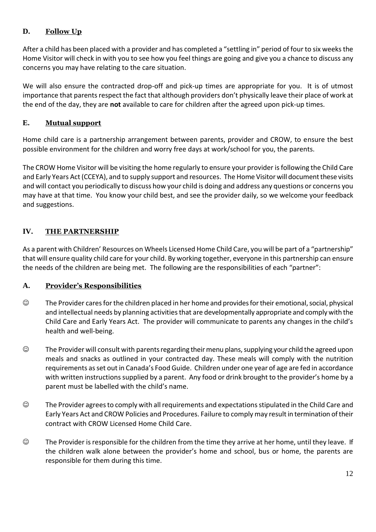## **D. Follow Up**

After a child has been placed with a provider and has completed a "settling in" period of four to six weeks the Home Visitor will check in with you to see how you feel things are going and give you a chance to discuss any concerns you may have relating to the care situation.

We will also ensure the contracted drop-off and pick-up times are appropriate for you. It is of utmost importance that parents respect the fact that although providers don't physically leave their place of work at the end of the day, they are **not** available to care for children after the agreed upon pick-up times.

## **E. Mutual support**

Home child care is a partnership arrangement between parents, provider and CROW, to ensure the best possible environment for the children and worry free days at work/school for you, the parents.

The CROW Home Visitor will be visiting the home regularly to ensure your provider is following the Child Care and Early Years Act (CCEYA), and to supply support and resources. The Home Visitor will document these visits and will contact you periodically to discuss how your child is doing and address any questions or concerns you may have at that time. You know your child best, and see the provider daily, so we welcome your feedback and suggestions.

## **IV. THE PARTNERSHIP**

As a parent with Children' Resources on Wheels Licensed Home Child Care, you will be part of a "partnership" that will ensure quality child care for your child. By working together, everyone in this partnership can ensure the needs of the children are being met. The following are the responsibilities of each "partner":

## **A. Provider's Responsibilities**

- ☺ The Provider cares for the children placed in her home and provides for their emotional, social, physical and intellectual needs by planning activities that are developmentally appropriate and comply with the Child Care and Early Years Act. The provider will communicate to parents any changes in the child's health and well-being.
- $\heartsuit$  The Provider will consult with parents regarding their menu plans, supplying your child the agreed upon meals and snacks as outlined in your contracted day. These meals will comply with the nutrition requirements as set out in Canada's Food Guide. Children under one year of age are fed in accordance with written instructions supplied by a parent. Any food or drink brought to the provider's home by a parent must be labelled with the child's name.
- ☺ The Provider agrees to comply with all requirements and expectations stipulated in the Child Care and Early Years Act and CROW Policies and Procedures. Failure to comply may result in termination of their contract with CROW Licensed Home Child Care.
- ☺ The Provider is responsible for the children from the time they arrive at her home, until they leave. If the children walk alone between the provider's home and school, bus or home, the parents are responsible for them during this time.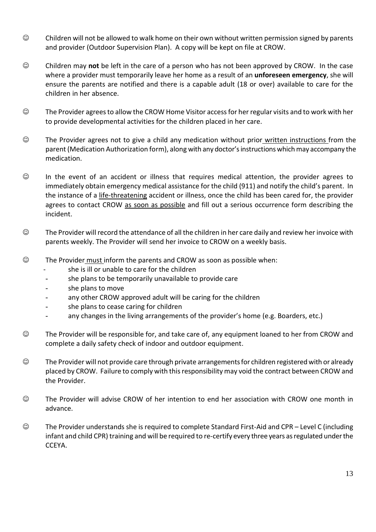- ☺ Children will not be allowed to walk home on their own without written permission signed by parents and provider (Outdoor Supervision Plan). A copy will be kept on file at CROW.
- ☺ Children may **not** be left in the care of a person who has not been approved by CROW. In the case where a provider must temporarily leave her home as a result of an **unforeseen emergency**, she will ensure the parents are notified and there is a capable adult (18 or over) available to care for the children in her absence.
- ☺ The Provider agrees to allow the CROW Home Visitor access for her regular visits and to work with her to provide developmental activities for the children placed in her care.
- ☺ The Provider agrees not to give a child any medication without prior written instructions from the parent (Medication Authorization form), along with any doctor's instructions which may accompany the medication.
- ☺ In the event of an accident or illness that requires medical attention, the provider agrees to immediately obtain emergency medical assistance for the child (911) and notify the child's parent. In the instance of a life-threatening accident or illness, once the child has been cared for, the provider agrees to contact CROW as soon as possible and fill out a serious occurrence form describing the incident.
- ☺ The Provider will record the attendance of all the children in her care daily and review her invoice with parents weekly. The Provider will send her invoice to CROW on a weekly basis.
- ☺ The Provider must inform the parents and CROW as soon as possible when:
	- she is ill or unable to care for the children
	- she plans to be temporarily unavailable to provide care
	- she plans to move
	- any other CROW approved adult will be caring for the children
	- she plans to cease caring for children
	- any changes in the living arrangements of the provider's home (e.g. Boarders, etc.)
- ☺ The Provider will be responsible for, and take care of, any equipment loaned to her from CROW and complete a daily safety check of indoor and outdoor equipment.
- ☺ The Provider will not provide care through private arrangements for children registered with or already placed by CROW. Failure to comply with this responsibility may void the contract between CROW and the Provider.
- ☺ The Provider will advise CROW of her intention to end her association with CROW one month in advance.
- ☺ The Provider understands she is required to complete Standard First-Aid and CPR Level C (including infant and child CPR) training and will be required to re-certify every three years as regulated under the CCEYA.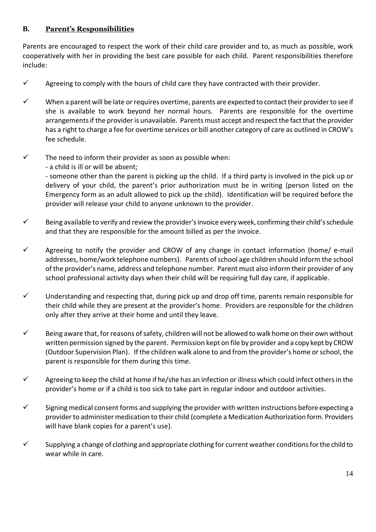## **B. Parent's Responsibilities**

Parents are encouraged to respect the work of their child care provider and to, as much as possible, work cooperatively with her in providing the best care possible for each child. Parent responsibilities therefore include:

- $\checkmark$  Agreeing to comply with the hours of child care they have contracted with their provider.
- $\checkmark$  When a parent will be late or requires overtime, parents are expected to contact their provider to see if she is available to work beyond her normal hours. Parents are responsible for the overtime arrangements if the provider is unavailable. Parents must accept and respect the fact that the provider has a right to charge a fee for overtime services or bill another category of care as outlined in CROW's fee schedule.
- $\checkmark$  The need to inform their provider as soon as possible when:
	- a child is ill or will be absent;

- someone other than the parent is picking up the child. If a third party is involved in the pick up or delivery of your child, the parent's prior authorization must be in writing (person listed on the Emergency form as an adult allowed to pick up the child). Identification will be required before the provider will release your child to anyone unknown to the provider.

- $\checkmark$  Being available to verify and review the provider's invoice every week, confirming their child's schedule and that they are responsible for the amount billed as per the invoice.
- $\checkmark$  Agreeing to notify the provider and CROW of any change in contact information (home/ e-mail addresses, home/work telephone numbers). Parents of school age children should inform the school of the provider's name, address and telephone number. Parent must also inform their provider of any school professional activity days when their child will be requiring full day care, if applicable.
- $\checkmark$  Understanding and respecting that, during pick up and drop off time, parents remain responsible for their child while they are present at the provider's home. Providers are responsible for the children only after they arrive at their home and until they leave.
- ✓ Being aware that, for reasons of safety, children will not be allowed to walk home on their own without written permission signed by the parent. Permission kept on file by provider and a copy kept by CROW (Outdoor Supervision Plan). If the children walk alone to and from the provider's home or school, the parent is responsible for them during this time.
- $\checkmark$  Agreeing to keep the child at home if he/she has an infection or illness which could infect others in the provider's home or if a child is too sick to take part in regular indoor and outdoor activities.
- $\checkmark$  Signing medical consent forms and supplying the provider with written instructions before expecting a provider to administer medication to their child (complete a Medication Authorization form. Providers will have blank copies for a parent's use).
- $\checkmark$  Supplying a change of clothing and appropriate clothing for current weather conditions for the child to wear while in care.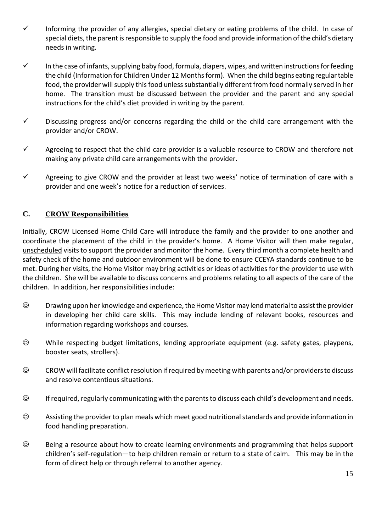- ✓ Informing the provider of any allergies, special dietary or eating problems of the child. In case of special diets, the parent is responsible to supply the food and provide information of the child's dietary needs in writing.
- ✓ In the case of infants, supplying baby food, formula, diapers, wipes, and written instructionsfor feeding the child (Information for Children Under 12 Months form). When the child begins eating regular table food, the provider will supply this food unless substantially different from food normally served in her home. The transition must be discussed between the provider and the parent and any special instructions for the child's diet provided in writing by the parent.
- $\checkmark$  Discussing progress and/or concerns regarding the child or the child care arrangement with the provider and/or CROW.
- $\checkmark$  Agreeing to respect that the child care provider is a valuable resource to CROW and therefore not making any private child care arrangements with the provider.
- ✓ Agreeing to give CROW and the provider at least two weeks' notice of termination of care with a provider and one week's notice for a reduction of services.

## **C. CROW Responsibilities**

Initially, CROW Licensed Home Child Care will introduce the family and the provider to one another and coordinate the placement of the child in the provider's home. A Home Visitor will then make regular, unscheduled visits to support the provider and monitor the home. Every third month a complete health and safety check of the home and outdoor environment will be done to ensure CCEYA standards continue to be met. During her visits, the Home Visitor may bring activities or ideas of activities for the provider to use with the children. She will be available to discuss concerns and problems relating to all aspects of the care of the children. In addition, her responsibilities include:

- ☺ Drawing upon her knowledge and experience, the Home Visitor may lend material to assist the provider in developing her child care skills. This may include lending of relevant books, resources and information regarding workshops and courses.
- ☺ While respecting budget limitations, lending appropriate equipment (e.g. safety gates, playpens, booster seats, strollers).
- ☺ CROW will facilitate conflict resolution if required by meeting with parents and/or providers to discuss and resolve contentious situations.
- ☺ If required, regularly communicating with the parentsto discuss each child's development and needs.
- ☺ Assisting the provider to plan meals which meet good nutritional standards and provide information in food handling preparation.
- ☺ Being a resource about how to create learning environments and programming that helps support children's self-regulation—to help children remain or return to a state of calm. This may be in the form of direct help or through referral to another agency.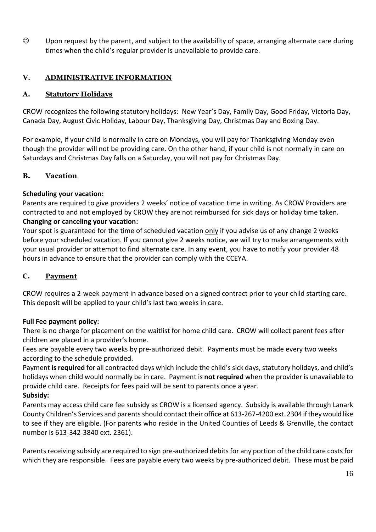☺ Upon request by the parent, and subject to the availability of space, arranging alternate care during times when the child's regular provider is unavailable to provide care.

## **V. ADMINISTRATIVE INFORMATION**

#### **A. Statutory Holidays**

CROW recognizes the following statutory holidays: New Year's Day, Family Day, Good Friday, Victoria Day, Canada Day, August Civic Holiday, Labour Day, Thanksgiving Day, Christmas Day and Boxing Day.

For example, if your child is normally in care on Mondays, you will pay for Thanksgiving Monday even though the provider will not be providing care. On the other hand, if your child is not normally in care on Saturdays and Christmas Day falls on a Saturday, you will not pay for Christmas Day.

#### **B. Vacation**

#### **Scheduling your vacation:**

Parents are required to give providers 2 weeks' notice of vacation time in writing. As CROW Providers are contracted to and not employed by CROW they are not reimbursed for sick days or holiday time taken. **Changing or canceling your vacation:**

Your spot is guaranteed for the time of scheduled vacation only if you advise us of any change 2 weeks before your scheduled vacation. If you cannot give 2 weeks notice, we will try to make arrangements with your usual provider or attempt to find alternate care. In any event, you have to notify your provider 48 hours in advance to ensure that the provider can comply with the CCEYA.

#### **C. Payment**

CROW requires a 2-week payment in advance based on a signed contract prior to your child starting care. This deposit will be applied to your child's last two weeks in care.

#### **Full Fee payment policy:**

There is no charge for placement on the waitlist for home child care. CROW will collect parent fees after children are placed in a provider's home.

Fees are payable every two weeks by pre-authorized debit*.* Payments must be made every two weeks according to the schedule provided.

Payment **isrequired** for all contracted days which include the child's sick days, statutory holidays, and child's holidays when child would normally be in care. Payment is **not required** when the provider is unavailable to provide child care. Receipts for fees paid will be sent to parents once a year.

#### **Subsidy:**

Parents may access child care fee subsidy as CROW is a licensed agency. Subsidy is available through Lanark County Children's Services and parents should contact their office at 613-267-4200 ext. 2304 if they would like to see if they are eligible. (For parents who reside in the United Counties of Leeds & Grenville, the contact number is 613-342-3840 ext. 2361).

Parents receiving subsidy are required to sign pre-authorized debits for any portion of the child care costs for which they are responsible. Fees are payable every two weeks by pre-authorized debit. These must be paid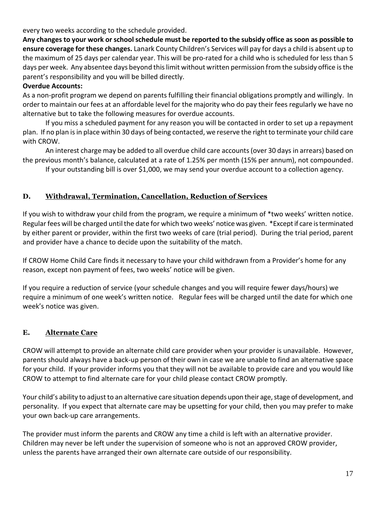every two weeks according to the schedule provided.

**Any changes to your work or school schedule must be reported to the subsidy office as soon as possible to ensure coverage for these changes.** Lanark County Children's Services will pay for days a child is absent up to the maximum of 25 days per calendar year. This will be pro-rated for a child who is scheduled for less than 5 days per week. Any absentee days beyond this limit without written permission from the subsidy office is the parent's responsibility and you will be billed directly.

#### **Overdue Accounts:**

As a non-profit program we depend on parents fulfilling their financial obligations promptly and willingly. In order to maintain our fees at an affordable level for the majority who do pay their fees regularly we have no alternative but to take the following measures for overdue accounts.

If you miss a scheduled payment for any reason you will be contacted in order to set up a repayment plan. If no plan is in place within 30 days of being contacted, we reserve the right to terminate your child care with CROW.

An interest charge may be added to all overdue child care accounts (over 30 days in arrears) based on the previous month's balance, calculated at a rate of 1.25% per month (15% per annum), not compounded.

If your outstanding bill is over \$1,000, we may send your overdue account to a collection agency.

## **D. Withdrawal, Termination, Cancellation, Reduction of Services**

If you wish to withdraw your child from the program, we require a minimum of \*two weeks' written notice. Regular fees will be charged until the date for which two weeks' notice was given. \*Except if care is terminated by either parent or provider, within the first two weeks of care (trial period). During the trial period, parent and provider have a chance to decide upon the suitability of the match.

If CROW Home Child Care finds it necessary to have your child withdrawn from a Provider's home for any reason, except non payment of fees, two weeks' notice will be given.

If you require a reduction of service (your schedule changes and you will require fewer days/hours) we require a minimum of one week's written notice. Regular fees will be charged until the date for which one week's notice was given.

#### **E. Alternate Care**

CROW will attempt to provide an alternate child care provider when your provider is unavailable. However, parents should always have a back-up person of their own in case we are unable to find an alternative space for your child. If your provider informs you that they will not be available to provide care and you would like CROW to attempt to find alternate care for your child please contact CROW promptly.

Your child's ability to adjust to an alternative care situation depends upon their age, stage of development, and personality. If you expect that alternate care may be upsetting for your child, then you may prefer to make your own back-up care arrangements.

The provider must inform the parents and CROW any time a child is left with an alternative provider. Children may never be left under the supervision of someone who is not an approved CROW provider, unless the parents have arranged their own alternate care outside of our responsibility.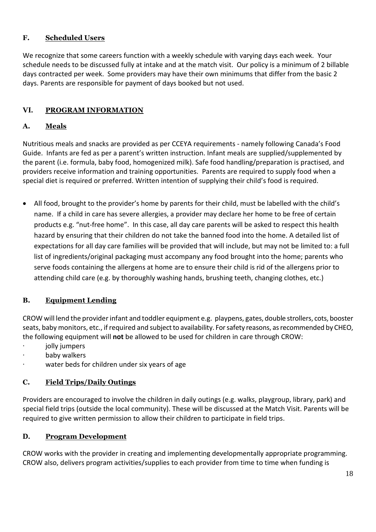## **F. Scheduled Users**

We recognize that some careers function with a weekly schedule with varying days each week. Your schedule needs to be discussed fully at intake and at the match visit. Our policy is a minimum of 2 billable days contracted per week. Some providers may have their own minimums that differ from the basic 2 days. Parents are responsible for payment of days booked but not used.

## **VI. PROGRAM INFORMATION**

## **A. Meals**

Nutritious meals and snacks are provided as per CCEYA requirements - namely following Canada's Food Guide. Infants are fed as per a parent's written instruction. Infant meals are supplied/supplemented by the parent (i.e. formula, baby food, homogenized milk). Safe food handling/preparation is practised, and providers receive information and training opportunities. Parents are required to supply food when a special diet is required or preferred. Written intention of supplying their child's food is required.

• All food, brought to the provider's home by parents for their child, must be labelled with the child's name. If a child in care has severe allergies, a provider may declare her home to be free of certain products e.g. "nut-free home". In this case, all day care parents will be asked to respect this health hazard by ensuring that their children do not take the banned food into the home. A detailed list of expectations for all day care families will be provided that will include, but may not be limited to: a full list of ingredients/original packaging must accompany any food brought into the home; parents who serve foods containing the allergens at home are to ensure their child is rid of the allergens prior to attending child care (e.g. by thoroughly washing hands, brushing teeth, changing clothes, etc.)

## **B. Equipment Lending**

CROW will lend the provider infant and toddler equipment e.g. playpens, gates, double strollers, cots, booster seats, baby monitors, etc., if required and subject to availability. For safety reasons, as recommended by CHEO, the following equipment will **not** be allowed to be used for children in care through CROW:

- jolly jumpers
- baby walkers
- water beds for children under six years of age

## **C. Field Trips/Daily Outings**

Providers are encouraged to involve the children in daily outings (e.g. walks, playgroup, library, park) and special field trips (outside the local community). These will be discussed at the Match Visit. Parents will be required to give written permission to allow their children to participate in field trips.

## **D. Program Development**

CROW works with the provider in creating and implementing developmentally appropriate programming. CROW also, delivers program activities/supplies to each provider from time to time when funding is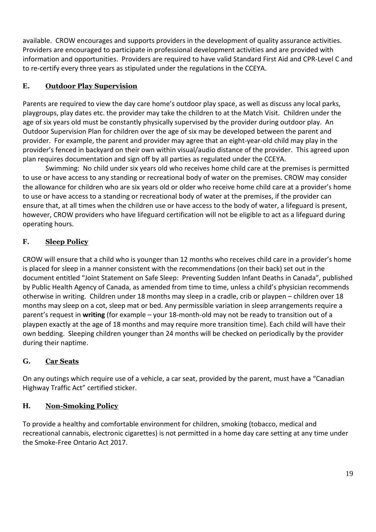available. CROW encourages and supports providers in the development of quality assurance activities. Providers are encouraged to participate in professional development activities and are provided with information and opportunities. Providers are required to have valid Standard First Aid and CPR-Level C and to re-certify every three years as stipulated under the regulations in the CCEYA.

## **E. Outdoor Play Supervision**

Parents are required to view the day care home's outdoor play space, as well as discuss any local parks, playgroups, play dates etc. the provider may take the children to at the Match Visit. Children under the age of six years old must be constantly physically supervised by the provider during outdoor play. An Outdoor Supervision Plan for children over the age of six may be developed between the parent and provider. For example, the parent and provider may agree that an eight-year-old child may play in the provider's fenced in backyard on their own within visual/audio distance of the provider. This agreed upon plan requires documentation and sign off by all parties as regulated under the CCEYA.

Swimming: No child under six years old who receives home child care at the premises is permitted to use or have access to any standing or recreational body of water on the premises. CROW may consider the allowance for children who are six years old or older who receive home child care at a provider's home to use or have access to a standing or recreational body of water at the premises, if the provider can ensure that, at all times when the children use or have access to the body of water, a lifeguard is present, however, CROW providers who have lifeguard certification will not be eligible to act as a lifeguard during operating hours.

## **F. Sleep Policy**

CROW will ensure that a child who is younger than 12 months who receives child care in a provider's home is placed for sleep in a manner consistent with the recommendations (on their back) set out in the document entitled "Joint Statement on Safe Sleep: Preventing Sudden Infant Deaths in Canada", published by Public Health Agency of Canada, as amended from time to time, unless a child's physician recommends otherwise in writing. Children under 18 months may sleep in a cradle, crib or playpen – children over 18 months may sleep on a cot, sleep mat or bed. Any permissible variation in sleep arrangements require a parent's request in **writing** (for example – your 18-month-old may not be ready to transition out of a playpen exactly at the age of 18 months and may require more transition time). Each child will have their own bedding. Sleeping children younger than 24 months will be checked on periodically by the provider during their naptime.

## **G. Car Seats**

On any outings which require use of a vehicle, a car seat, provided by the parent, must have a "Canadian Highway Traffic Act" certified sticker.

## **H. Non-Smoking Policy**

To provide a healthy and comfortable environment for children, smoking (tobacco, medical and recreational cannabis, electronic cigarettes) is not permitted in a home day care setting at any time under the Smoke-Free Ontario Act 2017.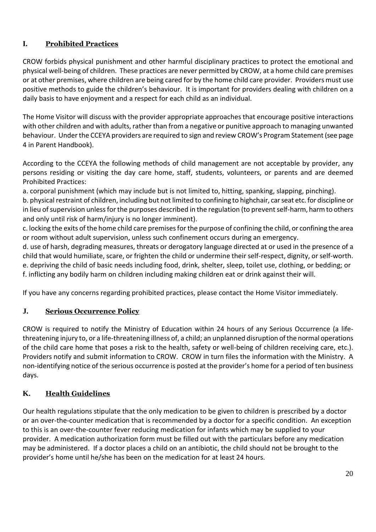## **I. Prohibited Practices**

CROW forbids physical punishment and other harmful disciplinary practices to protect the emotional and physical well-being of children. These practices are never permitted by CROW, at a home child care premises or at other premises, where children are being cared for by the home child care provider. Providers must use positive methods to guide the children's behaviour. It is important for providers dealing with children on a daily basis to have enjoyment and a respect for each child as an individual.

The Home Visitor will discuss with the provider appropriate approaches that encourage positive interactions with other children and with adults, rather than from a negative or punitive approach to managing unwanted behaviour. Under the CCEYA providers are required to sign and review CROW's Program Statement (see page 4 in Parent Handbook).

According to the CCEYA the following methods of child management are not acceptable by provider, any persons residing or visiting the day care home, staff, students, volunteers, or parents and are deemed Prohibited Practices:

a. corporal punishment (which may include but is not limited to, hitting, spanking, slapping, pinching).

b. physical restraint of children, including but not limited to confining to highchair, car seat etc. for discipline or in lieu of supervision unless for the purposes described in the regulation (to prevent self-harm, harmto others and only until risk of harm/injury is no longer imminent).

c. locking the exits of the home child care premises for the purpose of confining the child, or confining the area or room without adult supervision, unless such confinement occurs during an emergency.

d. use of harsh, degrading measures, threats or derogatory language directed at or used in the presence of a child that would humiliate, scare, or frighten the child or undermine their self-respect, dignity, or self-worth. e. depriving the child of basic needs including food, drink, shelter, sleep, toilet use, clothing, or bedding; or f. inflicting any bodily harm on children including making children eat or drink against their will.

If you have any concerns regarding prohibited practices, please contact the Home Visitor immediately.

## **J. Serious Occurrence Policy**

CROW is required to notify the Ministry of Education within 24 hours of any Serious Occurrence (a lifethreatening injury to, or a life-threatening illness of, a child; an unplanned disruption of the normal operations of the child care home that poses a risk to the health, safety or well-being of children receiving care, etc.). Providers notify and submit information to CROW. CROW in turn files the information with the Ministry. A non-identifying notice of the serious occurrence is posted at the provider's home for a period of ten business days.

## **K. Health Guidelines**

Our health regulations stipulate that the only medication to be given to children is prescribed by a doctor or an over-the-counter medication that is recommended by a doctor for a specific condition. An exception to this is an over-the-counter fever reducing medication for infants which may be supplied to your provider. A medication authorization form must be filled out with the particulars before any medication may be administered. If a doctor places a child on an antibiotic, the child should not be brought to the provider's home until he/she has been on the medication for at least 24 hours.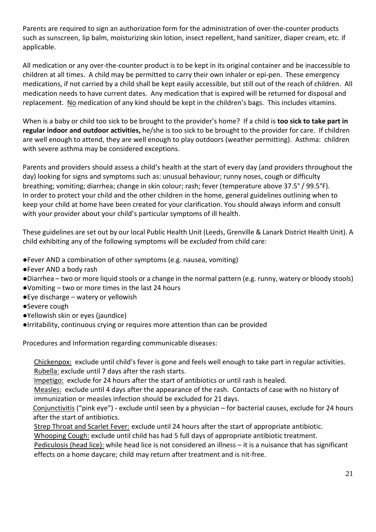Parents are required to sign an authorization form for the administration of over-the-counter products such as sunscreen, lip balm, moisturizing skin lotion, insect repellent, hand sanitizer, diaper cream, etc. if applicable.

All medication or any over-the-counter product is to be kept in its original container and be inaccessible to children at all times. A child may be permitted to carry their own inhaler or epi-pen. These emergency medications, if not carried by a child shall be kept easily accessible, but still out of the reach of children. All medication needs to have current dates. Any medication that is expired will be returned for disposal and replacement. No medication of any kind should be kept in the children's bags. This includes vitamins.

When is a baby or child too sick to be brought to the provider's home? If a child is **too sick to take part in regular indoor and outdoor activities,** he/she is too sick to be brought to the provider for care. If children are well enough to attend, they are well enough to play outdoors (weather permitting). Asthma: children with severe asthma may be considered exceptions.

Parents and providers should assess a child's health at the start of every day (and providers throughout the day) looking for signs and symptoms such as: unusual behaviour; runny noses, cough or difficulty breathing; vomiting; diarrhea; change in skin colour; rash; fever (temperature above 37.5° / 99.5°F). In order to protect your child and the other children in the home, general guidelines outlining when to keep your child at home have been created for your clarification. You should always inform and consult with your provider about your child's particular symptoms of ill health.

These guidelines are set out by our local Public Health Unit (Leeds, Grenville & Lanark District Health Unit). A child exhibiting any of the following symptoms will be *excluded* from child care:

- ●Fever AND a combination of other symptoms (e.g. nausea, vomiting)
- ●Fever AND a body rash
- ●Diarrhea two or more liquid stools or a change in the normal pattern (e.g. runny, watery or bloody stools)
- ●Vomiting two or more times in the last 24 hours
- ●Eye discharge watery or yellowish
- ●Severe cough
- ●Yellowish skin or eyes (jaundice)
- ●Irritability, continuous crying or requires more attention than can be provided

Procedures and Information regarding communicable diseases:

Chickenpox: exclude until child's fever is gone and feels well enough to take part in regular activities. Rubella: exclude until 7 days after the rash starts.

Impetigo: exclude for 24 hours after the start of antibiotics or until rash is healed.

Measles:exclude until 4 days after the appearance of the rash. Contacts of case with no history of immunization or measles infection should be excluded for 21 days.

 Conjunctivitis ("pink eye") - exclude until seen by a physician – for bacterial causes, exclude for 24 hours after the start of antibiotics.

Strep Throat and Scarlet Fever: exclude until 24 hours after the start of appropriate antibiotic.

Whooping Cough: exclude until child has had 5 full days of appropriate antibiotic treatment.

Pediculosis (head lice): while head lice is not considered an illness - it is a nuisance that has significant effects on a home daycare; child may return after treatment and is nit-free.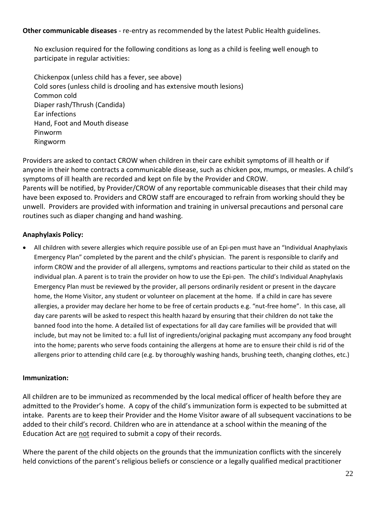**Other communicable diseases** - re-entry as recommended by the latest Public Health guidelines.

No exclusion required for the following conditions as long as a child is feeling well enough to participate in regular activities:

Chickenpox (unless child has a fever, see above) Cold sores (unless child is drooling and has extensive mouth lesions) Common cold Diaper rash/Thrush (Candida) Ear infections Hand, Foot and Mouth disease Pinworm Ringworm

Providers are asked to contact CROW when children in their care exhibit symptoms of ill health or if anyone in their home contracts a communicable disease, such as chicken pox, mumps, or measles. A child's symptoms of ill health are recorded and kept on file by the Provider and CROW. Parents will be notified, by Provider/CROW of any reportable communicable diseases that their child may have been exposed to. Providers and CROW staff are encouraged to refrain from working should they be unwell. Providers are provided with information and training in universal precautions and personal care routines such as diaper changing and hand washing.

## **Anaphylaxis Policy:**

• All children with severe allergies which require possible use of an Epi-pen must have an "Individual Anaphylaxis Emergency Plan" completed by the parent and the child's physician. The parent is responsible to clarify and inform CROW and the provider of all allergens, symptoms and reactions particular to their child as stated on the individual plan. A parent is to train the provider on how to use the Epi-pen. The child's Individual Anaphylaxis Emergency Plan must be reviewed by the provider, all persons ordinarily resident or present in the daycare home, the Home Visitor, any student or volunteer on placement at the home. If a child in care has severe allergies, a provider may declare her home to be free of certain products e.g. "nut-free home". In this case, all day care parents will be asked to respect this health hazard by ensuring that their children do not take the banned food into the home. A detailed list of expectations for all day care families will be provided that will include, but may not be limited to: a full list of ingredients/original packaging must accompany any food brought into the home; parents who serve foods containing the allergens at home are to ensure their child is rid of the allergens prior to attending child care (e.g. by thoroughly washing hands, brushing teeth, changing clothes, etc.)

#### **Immunization:**

All children are to be immunized as recommended by the local medical officer of health before they are admitted to the Provider's home. A copy of the child's immunization form is expected to be submitted at intake. Parents are to keep their Provider and the Home Visitor aware of all subsequent vaccinations to be added to their child's record. Children who are in attendance at a school within the meaning of the Education Act are not required to submit a copy of their records.

Where the parent of the child objects on the grounds that the immunization conflicts with the sincerely held convictions of the parent's religious beliefs or conscience or a legally qualified medical practitioner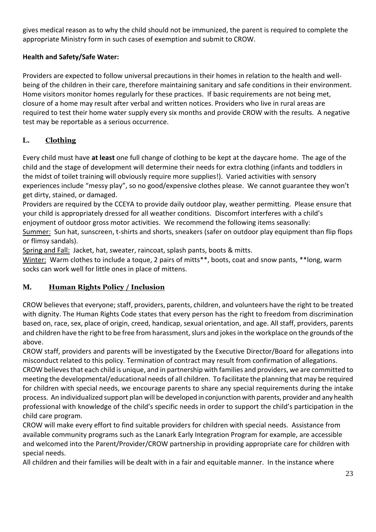gives medical reason as to why the child should not be immunized, the parent is required to complete the appropriate Ministry form in such cases of exemption and submit to CROW.

## **Health and Safety/Safe Water:**

Providers are expected to follow universal precautions in their homes in relation to the health and wellbeing of the children in their care, therefore maintaining sanitary and safe conditions in their environment. Home visitors monitor homes regularly for these practices. If basic requirements are not being met, closure of a home may result after verbal and written notices. Providers who live in rural areas are required to test their home water supply every six months and provide CROW with the results. A negative test may be reportable as a serious occurrence.

## **L. Clothing**

Every child must have **at least** one full change of clothing to be kept at the daycare home. The age of the child and the stage of development will determine their needs for extra clothing (infants and toddlers in the midst of toilet training will obviously require more supplies!). Varied activities with sensory experiences include "messy play", so no good/expensive clothes please. We cannot guarantee they won't get dirty, stained, or damaged.

Providers are required by the CCEYA to provide daily outdoor play, weather permitting. Please ensure that your child is appropriately dressed for all weather conditions. Discomfort interferes with a child's enjoyment of outdoor gross motor activities. We recommend the following items seasonally:

Summer: Sun hat, sunscreen, t-shirts and shorts, sneakers (safer on outdoor play equipment than flip flops or flimsy sandals).

Spring and Fall: Jacket, hat, sweater, raincoat, splash pants, boots & mitts.

Winter: Warm clothes to include a toque, 2 pairs of mitts\*\*, boots, coat and snow pants, \*\*long, warm socks can work well for little ones in place of mittens.

## **M. Human Rights Policy / Inclusion**

CROW believes that everyone; staff, providers, parents, children, and volunteers have the right to be treated with dignity. The Human Rights Code states that every person has the right to freedom from discrimination based on, race, sex, place of origin, creed, handicap, sexual orientation, and age. All staff, providers, parents and children have the right to be free from harassment, slurs and jokes in the workplace on the grounds of the above.

CROW staff, providers and parents will be investigated by the Executive Director/Board for allegations into misconduct related to this policy. Termination of contract may result from confirmation of allegations.

CROW believes that each child is unique, and in partnership with families and providers, we are committed to meeting the developmental/educational needs of all children.To facilitate the planning that may be required for children with special needs, we encourage parents to share any special requirements during the intake process. An individualized support plan will be developed in conjunction with parents, provider and any health professional with knowledge of the child's specific needs in order to support the child's participation in the child care program.

CROW will make every effort to find suitable providers for children with special needs. Assistance from available community programs such as the Lanark Early Integration Program for example, are accessible and welcomed into the Parent/Provider/CROW partnership in providing appropriate care for children with special needs.

All children and their families will be dealt with in a fair and equitable manner. In the instance where